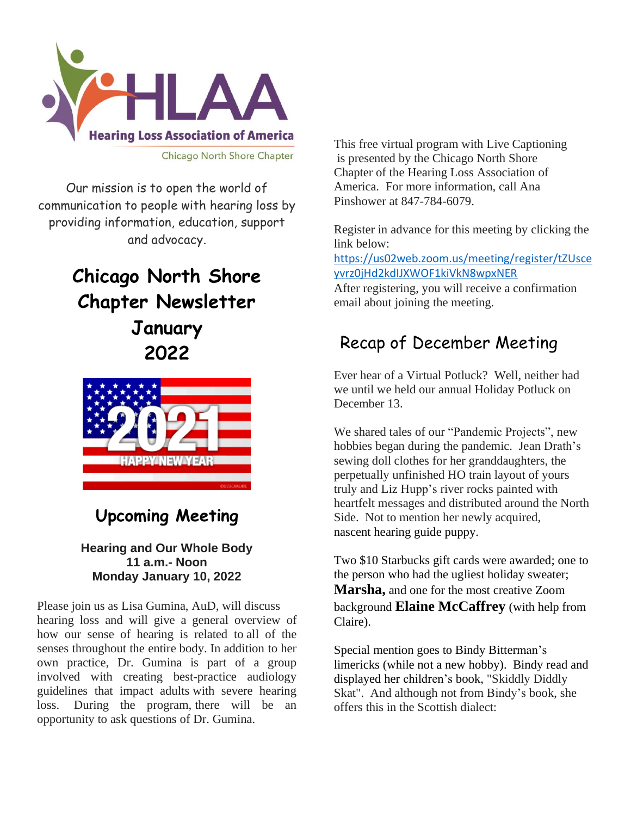

Our mission is to open the world of communication to people with hearing loss by providing information, education, support and advocacy.

# **Chicago North Shore Chapter Newsletter January 2022**



## **Upcoming Meeting**

#### **Hearing and Our Whole Body 11 a.m.- Noon Monday January 10, 2022**

Please join us as Lisa Gumina, AuD, will discuss hearing loss and will give a general overview of how our sense of hearing is related to all of the senses throughout the entire body. In addition to her own practice, Dr. Gumina is part of a group involved with creating best-practice audiology guidelines that impact adults with severe hearing loss. During the program, there will be an opportunity to ask questions of Dr. Gumina.

This free virtual program with Live Captioning is presented by the Chicago North Shore Chapter of the Hearing Loss Association of America. For more information, call Ana Pinshower at 847-784-6079.

Register in advance for this meeting by clicking the link below:

[https://us02web.zoom.us/meeting/register/tZUsce](https://us02web.zoom.us/meeting/register/tZUsceyvrz0jHd2kdIJXWOF1kiVkN8wpxNER) [yvrz0jHd2kdIJXWOF1kiVkN8wpxNER](https://us02web.zoom.us/meeting/register/tZUsceyvrz0jHd2kdIJXWOF1kiVkN8wpxNER)

After registering, you will receive a confirmation email about joining the meeting.

## Recap of December Meeting

Ever hear of a Virtual Potluck? Well, neither had we until we held our annual Holiday Potluck on December 13.

We shared tales of our "Pandemic Projects", new hobbies began during the pandemic. Jean Drath's sewing doll clothes for her granddaughters, the perpetually unfinished HO train layout of yours truly and Liz Hupp's river rocks painted with heartfelt messages and distributed around the North Side. Not to mention her newly acquired, nascent hearing guide puppy.

Two \$10 Starbucks gift cards were awarded; one to the person who had the ugliest holiday sweater; **Marsha,** and one for the most creative Zoom background **Elaine McCaffrey** (with help from Claire).

Special mention goes to Bindy Bitterman's limericks (while not a new hobby). Bindy read and displayed her children's book, "Skiddly Diddly Skat". And although not from Bindy's book, she offers this in the Scottish dialect: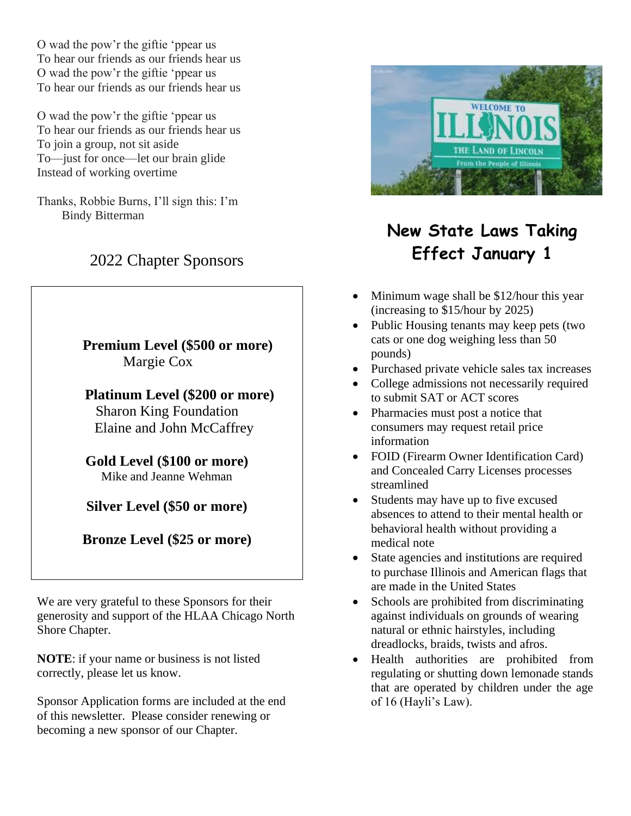O wad the pow'r the giftie 'ppear us To hear our friends as our friends hear us O wad the pow'r the giftie 'ppear us To hear our friends as our friends hear us

O wad the pow'r the giftie 'ppear us To hear our friends as our friends hear us To join a group, not sit aside To—just for once—let our brain glide Instead of working overtime

Thanks, Robbie Burns, I'll sign this: I'm Bindy Bitterman

## 2022 Chapter Sponsors

 **Premium Level (\$500 or more)** Margie Cox

 **Platinum Level (\$200 or more)** Sharon King Foundation

Elaine and John McCaffrey

**Gold Level (\$100 or more)** Mike and Jeanne Wehman

**Silver Level (\$50 or more)**

**Bronze Level (\$25 or more)**

We are very grateful to these Sponsors for their generosity and support of the HLAA Chicago North Shore Chapter.

**NOTE**: if your name or business is not listed correctly, please let us know.

Sponsor Application forms are included at the end of this newsletter. Please consider renewing or becoming a new sponsor of our Chapter.



# **New State Laws Taking Effect January 1**

- Minimum wage shall be \$12/hour this year (increasing to \$15/hour by 2025)
- Public Housing tenants may keep pets (two cats or one dog weighing less than 50 pounds)
- Purchased private vehicle sales tax increases
- College admissions not necessarily required to submit SAT or ACT scores
- Pharmacies must post a notice that consumers may request retail price information
- FOID (Firearm Owner Identification Card) and Concealed Carry Licenses processes streamlined
- Students may have up to five excused absences to attend to their mental health or behavioral health without providing a medical note
- State agencies and institutions are required to purchase Illinois and American flags that are made in the United States
- Schools are prohibited from discriminating against individuals on grounds of wearing natural or ethnic hairstyles, including dreadlocks, braids, twists and afros.
- Health authorities are prohibited from regulating or shutting down lemonade stands that are operated by children under the age of 16 (Hayli's Law).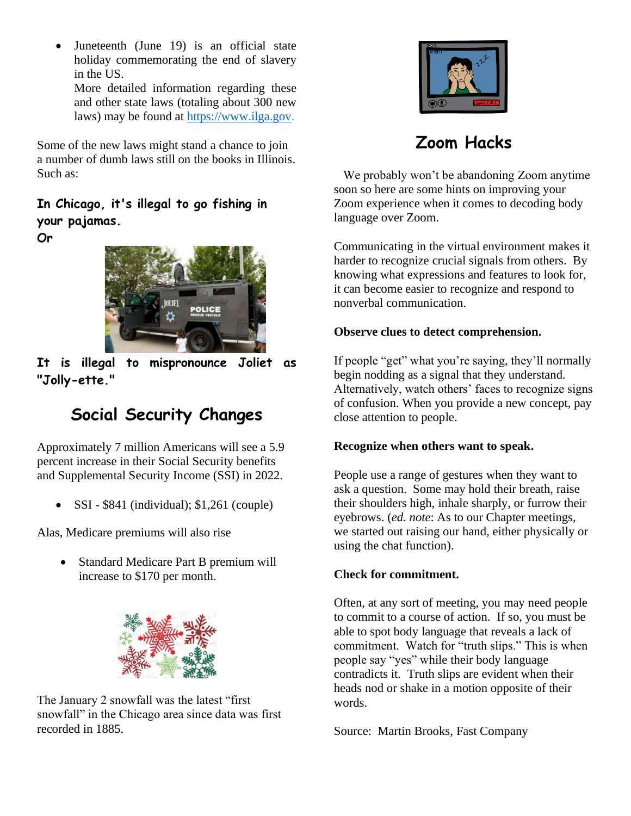Juneteenth (June 19) is an official state holiday commemorating the end of slavery in the US.

More detailed information regarding these and other state laws (totaling about 300 new laws) may be found at [https://www.ilga.gov.](https://www.ilga.gov/)

Some of the new laws might stand a chance to join a number of dumb laws still on the books in Illinois. Such as:

### **In Chicago, it's illegal to go fishing in your pajamas.**

**Or**



**It is illegal to mispronounce Joliet as "Jolly-ette."**

## **Social Security Changes**

Approximately 7 million Americans will see a 5.9 percent increase in their Social Security benefits and Supplemental Security Income (SSI) in 2022.

• SSI -  $$841$  (individual);  $$1,261$  (couple)

Alas, Medicare premiums will also rise

• Standard Medicare Part B premium will increase to \$170 per month.



The January 2 snowfall was the latest "first snowfall" in the Chicago area since data was first recorded in 1885.



**Zoom Hacks**

 We probably won't be abandoning Zoom anytime soon so here are some hints on improving your Zoom experience when it comes to decoding body language over Zoom.

Communicating in the virtual environment makes it harder to recognize crucial signals from others. By knowing what expressions and features to look for, it can become easier to recognize and respond to nonverbal communication.

### **Observe clues to detect comprehension.**

If people "get" what you're saying, they'll normally begin nodding as a signal that they understand. Alternatively, watch others' faces to recognize signs of confusion. When you provide a new concept, pay close attention to people.

#### **Recognize when others want to speak.**

People use a range of gestures when they want to ask a question. Some may hold their breath, raise their shoulders high, inhale sharply, or furrow their eyebrows. (*ed. note*: As to our Chapter meetings, we started out raising our hand, either physically or using the chat function).

### **Check for commitment.**

Often, at any sort of meeting, you may need people to commit to a course of action. If so, you must be able to spot body language that reveals a lack of commitment. Watch for "truth slips." This is when people say "yes" while their body language contradicts it. Truth slips are evident when their heads nod or shake in a motion opposite of their words.

Source: Martin Brooks, Fast Company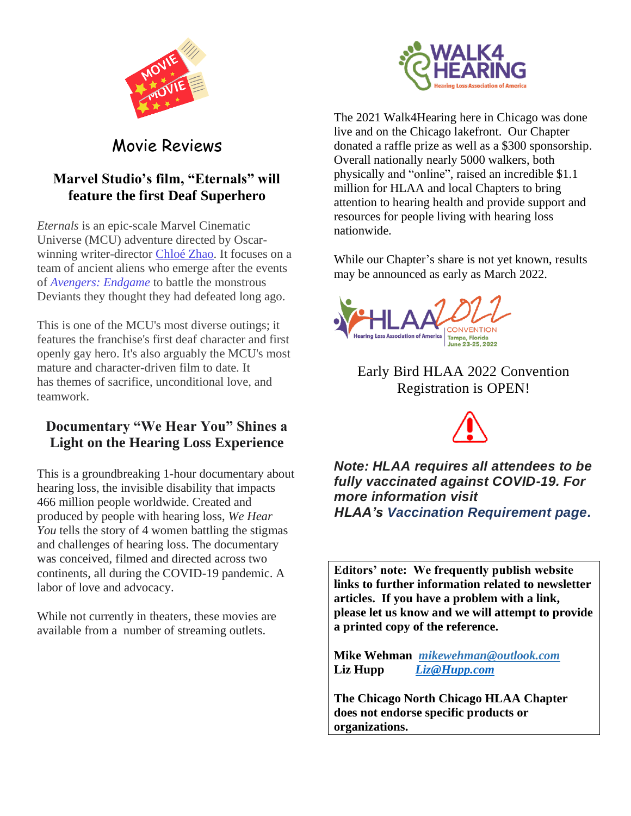



Movie Reviews

### **Marvel Studio's film, "Eternals" will feature the first Deaf Superhero**

*Eternals* is an epic-scale Marvel Cinematic Universe (MCU) adventure directed by Oscarwinning writer-director [Chloé](https://www.commonsensemedia.org/search/Chlo%C3%A9%20Zhao) Zhao. It focuses on a team of ancient aliens who emerge after the events of *[Avengers: Endgame](https://www.commonsensemedia.org/movie-reviews/avengers-endgame)* to battle the monstrous Deviants they thought they had defeated long ago.

This is one of the MCU's most diverse outings; it features the franchise's first deaf character and first openly gay hero. It's also arguably the MCU's most mature and character-driven film to date. It has themes of sacrifice, unconditional love, and teamwork.

### **Documentary "We Hear You" Shines a Light on the Hearing Loss Experience**

This is a groundbreaking 1-hour documentary about hearing loss, the invisible disability that impacts 466 million people worldwide. Created and produced by people with hearing loss, *We Hear You* tells the story of 4 women battling the stigmas and challenges of hearing loss. The documentary was conceived, filmed and directed across two continents, all during the COVID-19 pandemic. A labor of love and advocacy.

While not currently in theaters, these movies are available from a number of streaming outlets.

The 2021 Walk4Hearing here in Chicago was done live and on the Chicago lakefront. Our Chapter donated a raffle prize as well as a \$300 sponsorship. Overall nationally nearly 5000 walkers, both physically and "online", raised an incredible \$1.1 million for HLAA and local Chapters to bring attention to hearing health and provide support and resources for people living with hearing loss nationwide.

While our Chapter's share is not yet known, results may be announced as early as March 2022.



Early Bird HLAA 2022 Convention Registration is OPEN!



*Note: HLAA requires all attendees to be fully vaccinated against COVID-19. For more information visit HLAA's [Vaccination Requirement page.](https://www.hearingloss.org/programs-events/convention/hlaa-2022-convention-vaccination-requirements/)*

**Editors' note: We frequently publish website links to further information related to newsletter articles. If you have a problem with a link, please let us know and we will attempt to provide a printed copy of the reference.**

**Mike Wehman** *mikewehman@outlook.com* **Liz Hupp** *Liz@Hupp.com*

**The Chicago North Chicago HLAA Chapter does not endorse specific products or organizations.**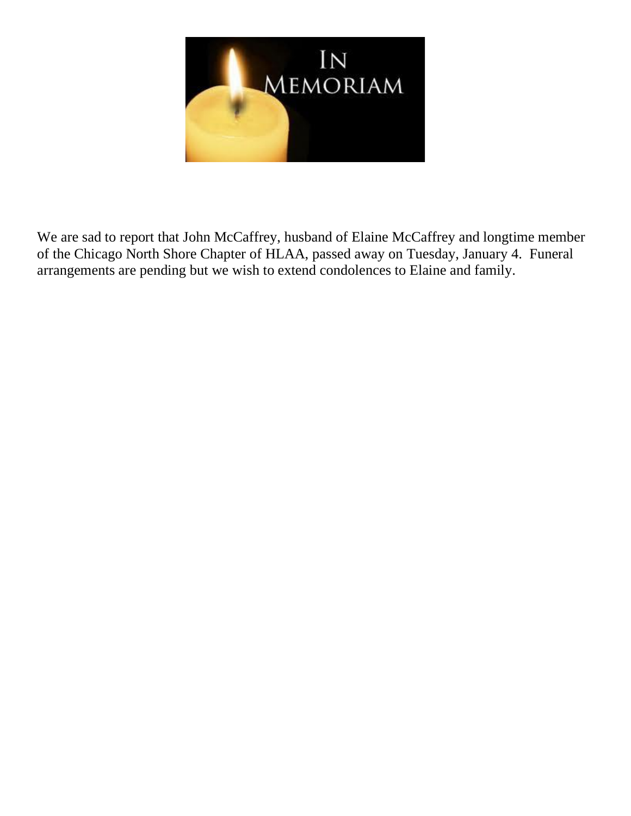

We are sad to report that John McCaffrey, husband of Elaine McCaffrey and longtime member of the Chicago North Shore Chapter of HLAA, passed away on Tuesday, January 4. Funeral arrangements are pending but we wish to extend condolences to Elaine and family.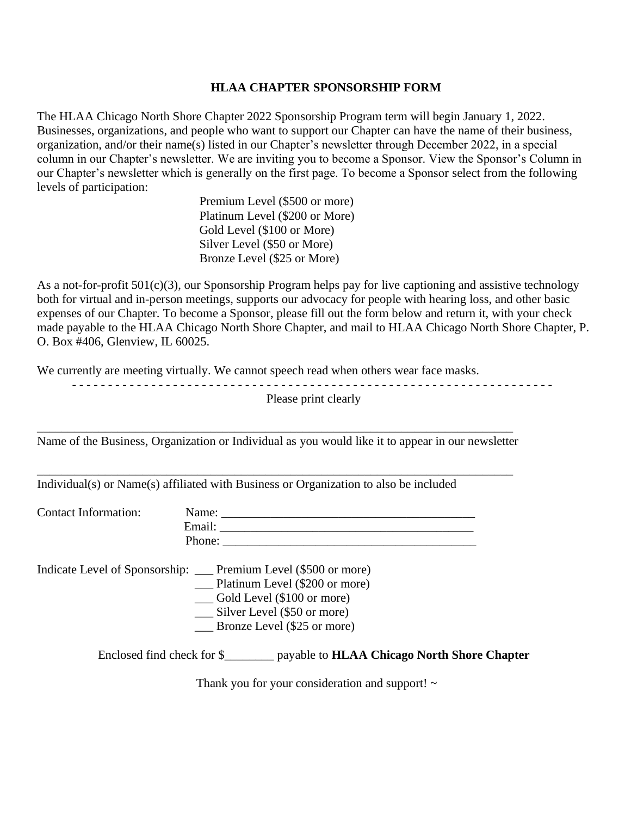#### **HLAA CHAPTER SPONSORSHIP FORM**

The HLAA Chicago North Shore Chapter 2022 Sponsorship Program term will begin January 1, 2022. Businesses, organizations, and people who want to support our Chapter can have the name of their business, organization, and/or their name(s) listed in our Chapter's newsletter through December 2022, in a special column in our Chapter's newsletter. We are inviting you to become a Sponsor. View the Sponsor's Column in our Chapter's newsletter which is generally on the first page. To become a Sponsor select from the following levels of participation:

> Premium Level (\$500 or more) Platinum Level (\$200 or More) Gold Level (\$100 or More) Silver Level (\$50 or More) Bronze Level (\$25 or More)

As a not-for-profit 501(c)(3), our Sponsorship Program helps pay for live captioning and assistive technology both for virtual and in-person meetings, supports our advocacy for people with hearing loss, and other basic expenses of our Chapter. To become a Sponsor, please fill out the form below and return it, with your check made payable to the HLAA Chicago North Shore Chapter, and mail to HLAA Chicago North Shore Chapter, P. O. Box #406, Glenview, IL 60025.

We currently are meeting virtually. We cannot speech read when others wear face masks.

|                             | Please print clearly                                                                                                                                                                                      |
|-----------------------------|-----------------------------------------------------------------------------------------------------------------------------------------------------------------------------------------------------------|
|                             | Name of the Business, Organization or Individual as you would like it to appear in our newsletter                                                                                                         |
|                             | Individual(s) or Name(s) affiliated with Business or Organization to also be included                                                                                                                     |
| <b>Contact Information:</b> |                                                                                                                                                                                                           |
|                             | Indicate Level of Sponsorship: __ Premium Level (\$500 or more)<br>Platinum Level (\$200 or more)<br>__ Gold Level (\$100 or more)<br>Silver Level (\$50 or more)<br>$\qquad$ Bronze Level (\$25 or more) |
|                             | Enclosed find check for \$___________ payable to <b>HLAA Chicago North Shore Chapter</b>                                                                                                                  |

Thank you for your consideration and support! ~